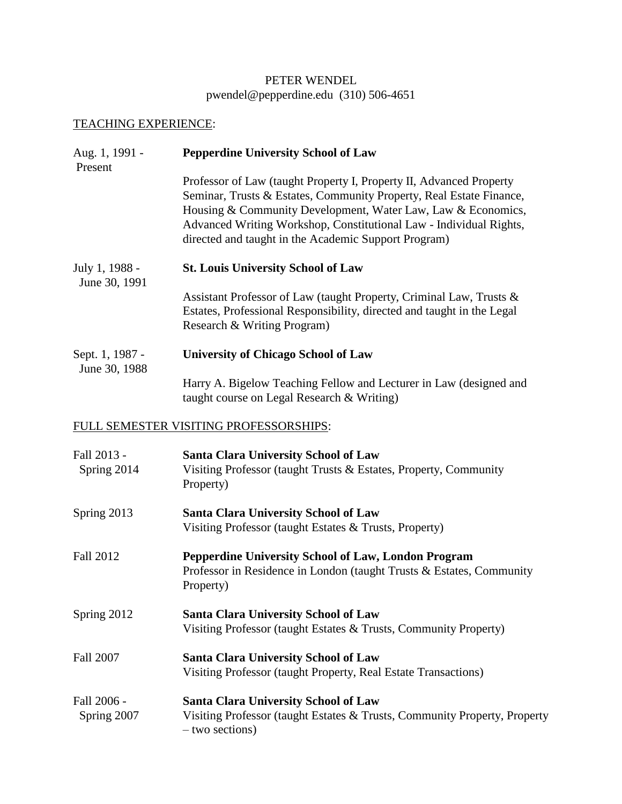## PETER WENDEL [pwendel@pepperdine.edu](mailto:pwendel@pepperdine.edu) (310) 506-4651

## TEACHING EXPERIENCE:

| Aug. 1, 1991 -<br>Present        | <b>Pepperdine University School of Law</b>                                                                                                                                                                                                                                                                                               |  |
|----------------------------------|------------------------------------------------------------------------------------------------------------------------------------------------------------------------------------------------------------------------------------------------------------------------------------------------------------------------------------------|--|
|                                  | Professor of Law (taught Property I, Property II, Advanced Property<br>Seminar, Trusts & Estates, Community Property, Real Estate Finance,<br>Housing & Community Development, Water Law, Law & Economics,<br>Advanced Writing Workshop, Constitutional Law - Individual Rights,<br>directed and taught in the Academic Support Program) |  |
| July 1, 1988 -<br>June 30, 1991  | <b>St. Louis University School of Law</b>                                                                                                                                                                                                                                                                                                |  |
|                                  | Assistant Professor of Law (taught Property, Criminal Law, Trusts &<br>Estates, Professional Responsibility, directed and taught in the Legal<br>Research & Writing Program)                                                                                                                                                             |  |
| Sept. 1, 1987 -<br>June 30, 1988 | <b>University of Chicago School of Law</b>                                                                                                                                                                                                                                                                                               |  |
|                                  | Harry A. Bigelow Teaching Fellow and Lecturer in Law (designed and<br>taught course on Legal Research & Writing)                                                                                                                                                                                                                         |  |
|                                  | FULL SEMESTER VISITING PROFESSORSHIPS:                                                                                                                                                                                                                                                                                                   |  |
| Fall 2013 -<br>Spring 2014       | <b>Santa Clara University School of Law</b><br>Visiting Professor (taught Trusts & Estates, Property, Community<br>Property)                                                                                                                                                                                                             |  |
| Spring 2013                      | <b>Santa Clara University School of Law</b><br>Visiting Professor (taught Estates & Trusts, Property)                                                                                                                                                                                                                                    |  |
| <b>Fall 2012</b>                 | Pepperdine University School of Law, London Program<br>Professor in Residence in London (taught Trusts & Estates, Community<br>Property)                                                                                                                                                                                                 |  |
| Spring 2012                      | <b>Santa Clara University School of Law</b><br>Visiting Professor (taught Estates & Trusts, Community Property)                                                                                                                                                                                                                          |  |
| <b>Fall 2007</b>                 | <b>Santa Clara University School of Law</b><br>Visiting Professor (taught Property, Real Estate Transactions)                                                                                                                                                                                                                            |  |
| Fall 2006 -<br>Spring 2007       | <b>Santa Clara University School of Law</b><br>Visiting Professor (taught Estates & Trusts, Community Property, Property<br>- two sections)                                                                                                                                                                                              |  |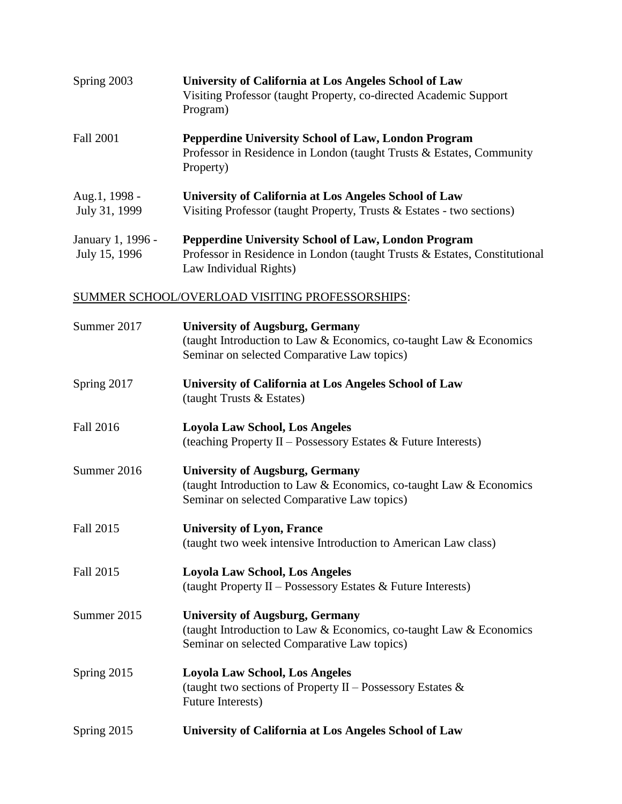| Spring 2003                        | University of California at Los Angeles School of Law<br>Visiting Professor (taught Property, co-directed Academic Support<br>Program)                            |
|------------------------------------|-------------------------------------------------------------------------------------------------------------------------------------------------------------------|
| Fall 2001                          | <b>Pepperdine University School of Law, London Program</b><br>Professor in Residence in London (taught Trusts & Estates, Community<br>Property)                   |
| Aug.1, 1998 -<br>July 31, 1999     | University of California at Los Angeles School of Law<br>Visiting Professor (taught Property, Trusts $&Estates - two sections)$ )                                 |
| January 1, 1996 -<br>July 15, 1996 | <b>Pepperdine University School of Law, London Program</b><br>Professor in Residence in London (taught Trusts & Estates, Constitutional<br>Law Individual Rights) |

### SUMMER SCHOOL/OVERLOAD VISITING PROFESSORSHIPS:

| Summer 2017      | <b>University of Augsburg, Germany</b><br>(taught Introduction to Law & Economics, co-taught Law & Economics<br>Seminar on selected Comparative Law topics) |
|------------------|-------------------------------------------------------------------------------------------------------------------------------------------------------------|
| Spring 2017      | University of California at Los Angeles School of Law<br>(taught Trusts & Estates)                                                                          |
| <b>Fall 2016</b> | <b>Loyola Law School, Los Angeles</b><br>(teaching Property II - Possessory Estates & Future Interests)                                                     |
| Summer 2016      | <b>University of Augsburg, Germany</b><br>(taught Introduction to Law & Economics, co-taught Law & Economics<br>Seminar on selected Comparative Law topics) |
| Fall 2015        | <b>University of Lyon, France</b><br>(taught two week intensive Introduction to American Law class)                                                         |
| <b>Fall 2015</b> | <b>Loyola Law School, Los Angeles</b><br>(taught Property II - Possessory Estates & Future Interests)                                                       |
| Summer 2015      | <b>University of Augsburg, Germany</b><br>(taught Introduction to Law & Economics, co-taught Law & Economics<br>Seminar on selected Comparative Law topics) |
| Spring 2015      | <b>Loyola Law School, Los Angeles</b><br>(taught two sections of Property II – Possessory Estates $\&$<br>Future Interests)                                 |
| Spring 2015      | University of California at Los Angeles School of Law                                                                                                       |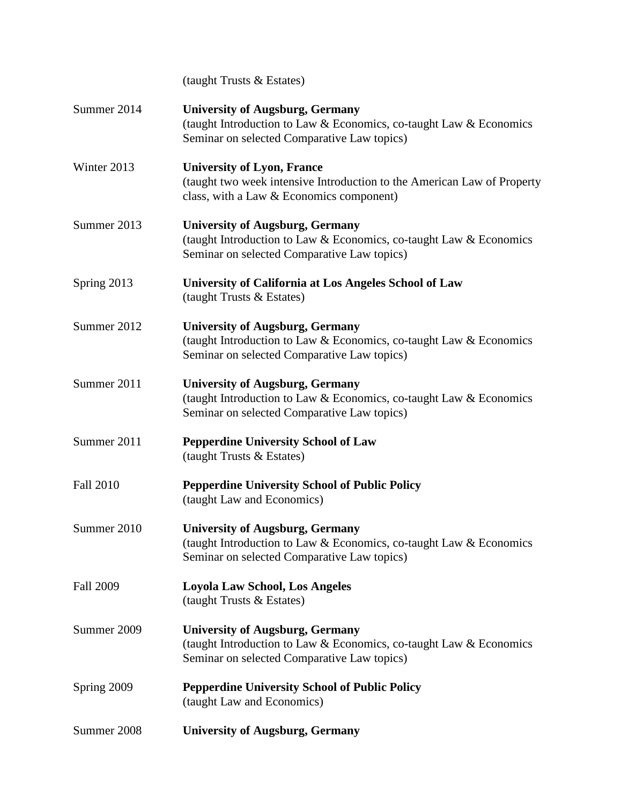|                  | (taught Trusts & Estates)                                                                                                                                   |
|------------------|-------------------------------------------------------------------------------------------------------------------------------------------------------------|
| Summer 2014      | <b>University of Augsburg, Germany</b><br>(taught Introduction to Law & Economics, co-taught Law & Economics<br>Seminar on selected Comparative Law topics) |
| Winter 2013      | <b>University of Lyon, France</b><br>(taught two week intensive Introduction to the American Law of Property<br>class, with a Law & Economics component)    |
| Summer 2013      | <b>University of Augsburg, Germany</b><br>(taught Introduction to Law & Economics, co-taught Law & Economics<br>Seminar on selected Comparative Law topics) |
| Spring 2013      | University of California at Los Angeles School of Law<br>(taught Trusts & Estates)                                                                          |
| Summer 2012      | <b>University of Augsburg, Germany</b><br>(taught Introduction to Law & Economics, co-taught Law & Economics<br>Seminar on selected Comparative Law topics) |
| Summer 2011      | <b>University of Augsburg, Germany</b><br>(taught Introduction to Law & Economics, co-taught Law & Economics<br>Seminar on selected Comparative Law topics) |
| Summer 2011      | <b>Pepperdine University School of Law</b><br>(taught Trusts & Estates)                                                                                     |
| <b>Fall 2010</b> | <b>Pepperdine University School of Public Policy</b><br>(taught Law and Economics)                                                                          |
| Summer 2010      | <b>University of Augsburg, Germany</b><br>(taught Introduction to Law & Economics, co-taught Law & Economics<br>Seminar on selected Comparative Law topics) |
| <b>Fall 2009</b> | <b>Loyola Law School, Los Angeles</b><br>(taught Trusts & Estates)                                                                                          |
| Summer 2009      | <b>University of Augsburg, Germany</b><br>(taught Introduction to Law & Economics, co-taught Law & Economics<br>Seminar on selected Comparative Law topics) |
| Spring 2009      | <b>Pepperdine University School of Public Policy</b><br>(taught Law and Economics)                                                                          |
| Summer 2008      | <b>University of Augsburg, Germany</b>                                                                                                                      |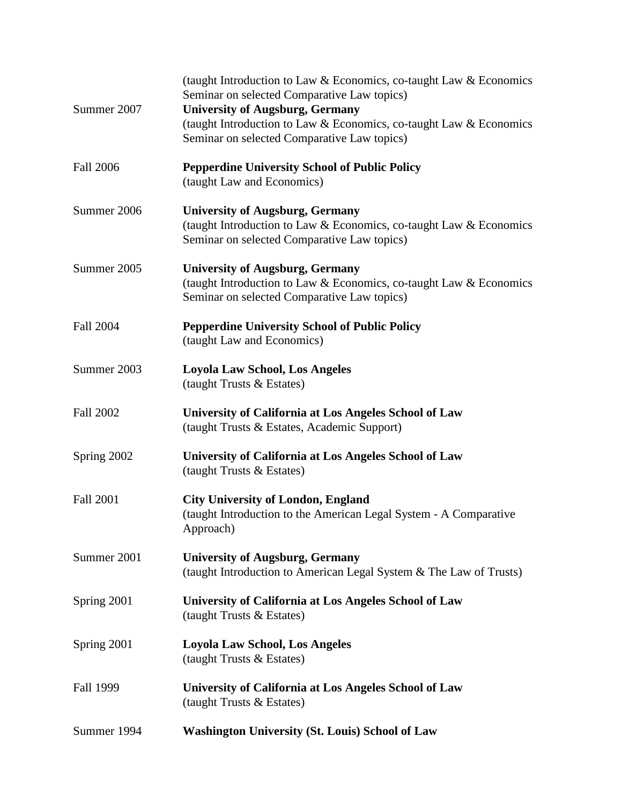| Summer 2007      | (taught Introduction to Law & Economics, co-taught Law & Economics<br>Seminar on selected Comparative Law topics)<br><b>University of Augsburg, Germany</b><br>(taught Introduction to Law & Economics, co-taught Law & Economics |
|------------------|-----------------------------------------------------------------------------------------------------------------------------------------------------------------------------------------------------------------------------------|
|                  | Seminar on selected Comparative Law topics)                                                                                                                                                                                       |
| <b>Fall 2006</b> | <b>Pepperdine University School of Public Policy</b><br>(taught Law and Economics)                                                                                                                                                |
| Summer 2006      | <b>University of Augsburg, Germany</b><br>(taught Introduction to Law & Economics, co-taught Law & Economics<br>Seminar on selected Comparative Law topics)                                                                       |
| Summer 2005      | <b>University of Augsburg, Germany</b><br>(taught Introduction to Law & Economics, co-taught Law & Economics<br>Seminar on selected Comparative Law topics)                                                                       |
| <b>Fall 2004</b> | <b>Pepperdine University School of Public Policy</b><br>(taught Law and Economics)                                                                                                                                                |
| Summer 2003      | <b>Loyola Law School, Los Angeles</b><br>(taught Trusts & Estates)                                                                                                                                                                |
| <b>Fall 2002</b> | University of California at Los Angeles School of Law<br>(taught Trusts & Estates, Academic Support)                                                                                                                              |
| Spring 2002      | University of California at Los Angeles School of Law<br>(taught Trusts & Estates)                                                                                                                                                |
| <b>Fall 2001</b> | <b>City University of London, England</b><br>(taught Introduction to the American Legal System - A Comparative<br>Approach)                                                                                                       |
| Summer 2001      | <b>University of Augsburg, Germany</b><br>(taught Introduction to American Legal System & The Law of Trusts)                                                                                                                      |
| Spring 2001      | University of California at Los Angeles School of Law<br>(taught Trusts & Estates)                                                                                                                                                |
| Spring 2001      | <b>Loyola Law School, Los Angeles</b><br>(taught Trusts & Estates)                                                                                                                                                                |
| Fall 1999        | University of California at Los Angeles School of Law<br>(taught Trusts & Estates)                                                                                                                                                |
| Summer 1994      | <b>Washington University (St. Louis) School of Law</b>                                                                                                                                                                            |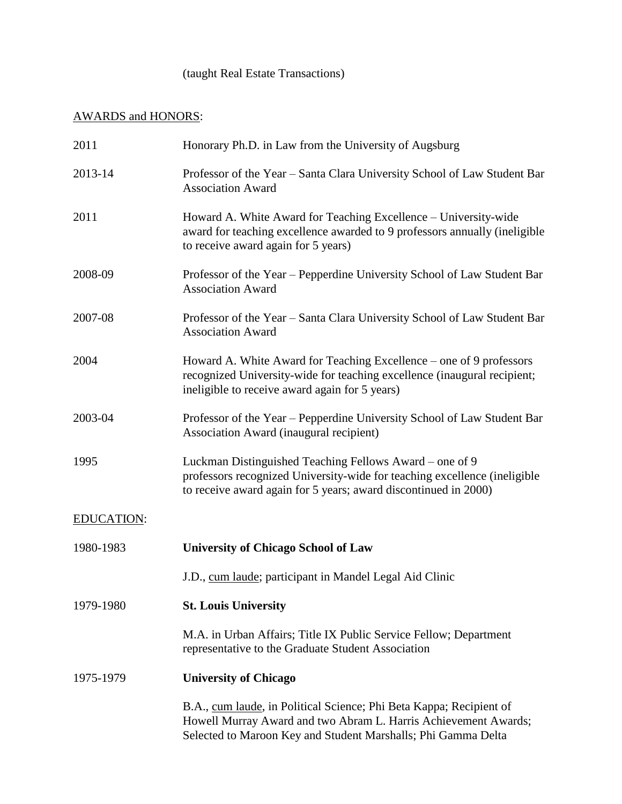## (taught Real Estate Transactions)

# AWARDS and HONORS:

| 2011              | Honorary Ph.D. in Law from the University of Augsburg                                                                                                                                                   |
|-------------------|---------------------------------------------------------------------------------------------------------------------------------------------------------------------------------------------------------|
| 2013-14           | Professor of the Year - Santa Clara University School of Law Student Bar<br><b>Association Award</b>                                                                                                    |
| 2011              | Howard A. White Award for Teaching Excellence - University-wide<br>award for teaching excellence awarded to 9 professors annually (ineligible<br>to receive award again for 5 years)                    |
| 2008-09           | Professor of the Year – Pepperdine University School of Law Student Bar<br><b>Association Award</b>                                                                                                     |
| 2007-08           | Professor of the Year – Santa Clara University School of Law Student Bar<br><b>Association Award</b>                                                                                                    |
| 2004              | Howard A. White Award for Teaching Excellence – one of 9 professors<br>recognized University-wide for teaching excellence (inaugural recipient;<br>ineligible to receive award again for 5 years)       |
| 2003-04           | Professor of the Year – Pepperdine University School of Law Student Bar<br>Association Award (inaugural recipient)                                                                                      |
| 1995              | Luckman Distinguished Teaching Fellows Award – one of 9<br>professors recognized University-wide for teaching excellence (ineligible<br>to receive award again for 5 years; award discontinued in 2000) |
| <b>EDUCATION:</b> |                                                                                                                                                                                                         |
| 1980-1983         | <b>University of Chicago School of Law</b>                                                                                                                                                              |
|                   | J.D., cum laude; participant in Mandel Legal Aid Clinic                                                                                                                                                 |
| 1979-1980         | <b>St. Louis University</b>                                                                                                                                                                             |
|                   | M.A. in Urban Affairs; Title IX Public Service Fellow; Department<br>representative to the Graduate Student Association                                                                                 |
| 1975-1979         | <b>University of Chicago</b>                                                                                                                                                                            |
|                   | B.A., cum laude, in Political Science; Phi Beta Kappa; Recipient of<br>Howell Murray Award and two Abram L. Harris Achievement Awards;<br>Selected to Maroon Key and Student Marshalls; Phi Gamma Delta |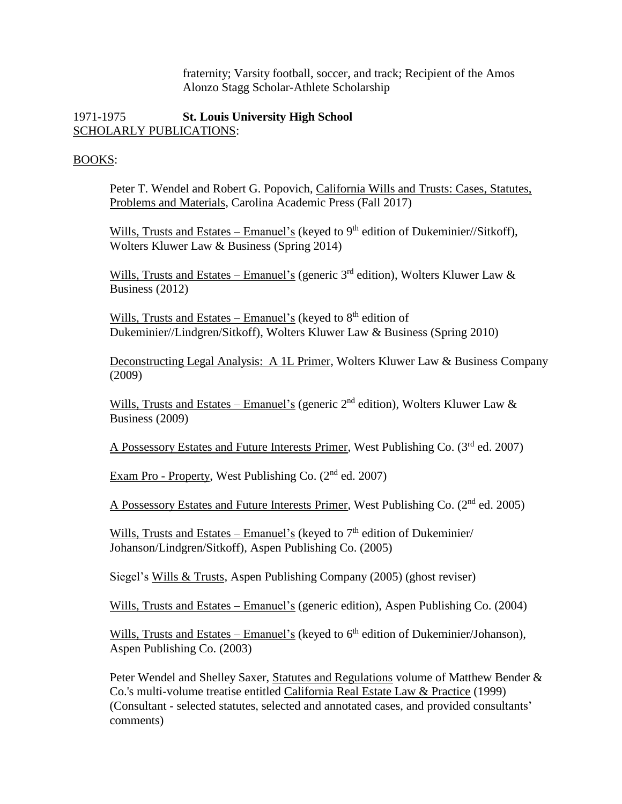fraternity; Varsity football, soccer, and track; Recipient of the Amos Alonzo Stagg Scholar-Athlete Scholarship

#### 1971-1975 **St. Louis University High School** SCHOLARLY PUBLICATIONS:

#### BOOKS:

Peter T. Wendel and Robert G. Popovich, California Wills and Trusts: Cases, Statutes, Problems and Materials, Carolina Academic Press (Fall 2017)

Wills, Trusts and Estates – Emanuel's (keyed to  $9<sup>th</sup>$  edition of Dukeminier//Sitkoff), Wolters Kluwer Law & Business (Spring 2014)

Wills, Trusts and Estates – Emanuel's (generic 3<sup>rd</sup> edition), Wolters Kluwer Law & Business (2012)

Wills, Trusts and Estates – Emanuel's (keyed to  $8<sup>th</sup>$  edition of Dukeminier//Lindgren/Sitkoff), Wolters Kluwer Law & Business (Spring 2010)

Deconstructing Legal Analysis: A 1L Primer, Wolters Kluwer Law & Business Company (2009)

Wills, Trusts and Estates – Emanuel's (generic  $2<sup>nd</sup>$  edition), Wolters Kluwer Law & Business (2009)

A Possessory Estates and Future Interests Primer, West Publishing Co. (3rd ed. 2007)

Exam Pro - Property, West Publishing Co. (2<sup>nd</sup> ed. 2007)

A Possessory Estates and Future Interests Primer, West Publishing Co. (2<sup>nd</sup> ed. 2005)

Wills, Trusts and Estates – Emanuel's (keyed to  $7<sup>th</sup>$  edition of Dukeminier/ Johanson/Lindgren/Sitkoff), Aspen Publishing Co. (2005)

Siegel's Wills & Trusts, Aspen Publishing Company (2005) (ghost reviser)

Wills, Trusts and Estates – Emanuel's (generic edition), Aspen Publishing Co. (2004)

Wills, Trusts and Estates – Emanuel's (keyed to 6<sup>th</sup> edition of Dukeminier/Johanson), Aspen Publishing Co. (2003)

Peter Wendel and Shelley Saxer, Statutes and Regulations volume of Matthew Bender & Co.'s multi-volume treatise entitled California Real Estate Law & Practice (1999) (Consultant - selected statutes, selected and annotated cases, and provided consultants' comments)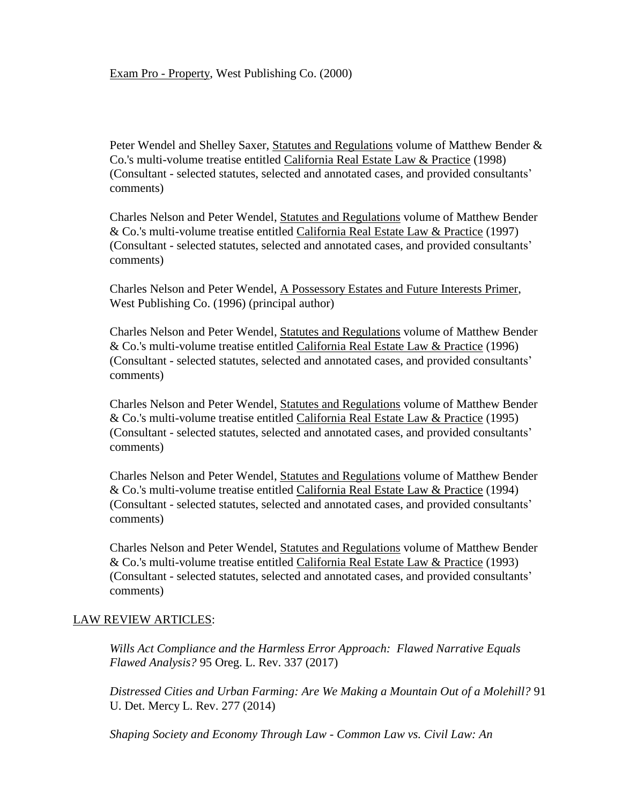Peter Wendel and Shelley Saxer, Statutes and Regulations volume of Matthew Bender & Co.'s multi-volume treatise entitled California Real Estate Law & Practice (1998) (Consultant - selected statutes, selected and annotated cases, and provided consultants' comments)

Charles Nelson and Peter Wendel, Statutes and Regulations volume of Matthew Bender & Co.'s multi-volume treatise entitled California Real Estate Law & Practice (1997) (Consultant - selected statutes, selected and annotated cases, and provided consultants' comments)

Charles Nelson and Peter Wendel, A Possessory Estates and Future Interests Primer, West Publishing Co. (1996) (principal author)

Charles Nelson and Peter Wendel, Statutes and Regulations volume of Matthew Bender & Co.'s multi-volume treatise entitled California Real Estate Law & Practice (1996) (Consultant - selected statutes, selected and annotated cases, and provided consultants' comments)

Charles Nelson and Peter Wendel, Statutes and Regulations volume of Matthew Bender & Co.'s multi-volume treatise entitled California Real Estate Law & Practice (1995) (Consultant - selected statutes, selected and annotated cases, and provided consultants' comments)

Charles Nelson and Peter Wendel, Statutes and Regulations volume of Matthew Bender & Co.'s multi-volume treatise entitled California Real Estate Law & Practice (1994) (Consultant - selected statutes, selected and annotated cases, and provided consultants' comments)

Charles Nelson and Peter Wendel, Statutes and Regulations volume of Matthew Bender & Co.'s multi-volume treatise entitled California Real Estate Law & Practice (1993) (Consultant - selected statutes, selected and annotated cases, and provided consultants' comments)

#### LAW REVIEW ARTICLES:

*Wills Act Compliance and the Harmless Error Approach: Flawed Narrative Equals Flawed Analysis?* 95 Oreg. L. Rev. 337 (2017)

*Distressed Cities and Urban Farming: Are We Making a Mountain Out of a Molehill?* 91 U. Det. Mercy L. Rev. 277 (2014)

*Shaping Society and Economy Through Law - Common Law vs. Civil Law: An*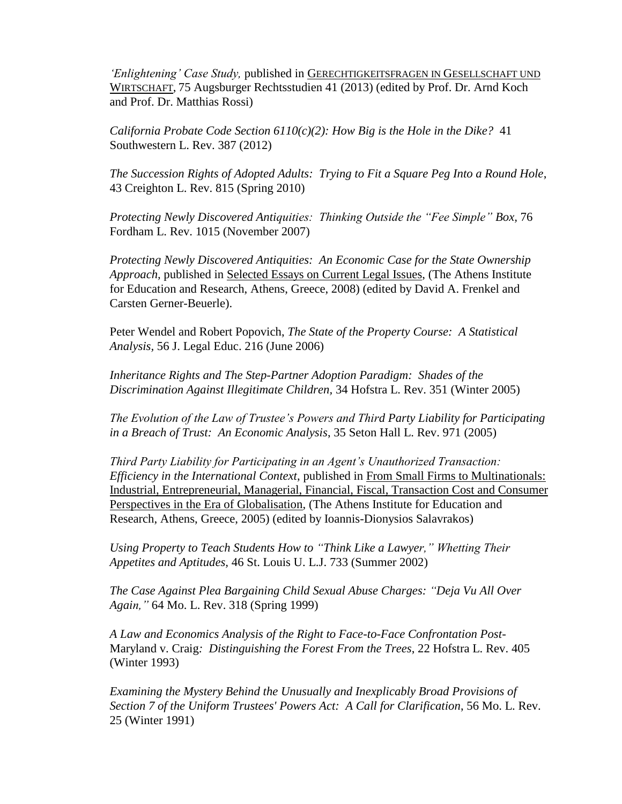*'Enlightening' Case Study,* published in GERECHTIGKEITSFRAGEN IN GESELLSCHAFT UND WIRTSCHAFT, 75 Augsburger Rechtsstudien 41 (2013) (edited by Prof. Dr. Arnd Koch and Prof. Dr. Matthias Rossi)

*California Probate Code Section 6110(c)(2): How Big is the Hole in the Dike?* 41 Southwestern L. Rev. 387 (2012)

*The Succession Rights of Adopted Adults: Trying to Fit a Square Peg Into a Round Hole*, 43 Creighton L. Rev. 815 (Spring 2010)

*Protecting Newly Discovered Antiquities: Thinking Outside the "Fee Simple" Box,* 76 Fordham L. Rev. 1015 (November 2007)

*Protecting Newly Discovered Antiquities: An Economic Case for the State Ownership Approach,* published in Selected Essays on Current Legal Issues, (The Athens Institute for Education and Research, Athens, Greece, 2008) (edited by David A. Frenkel and Carsten Gerner-Beuerle).

Peter Wendel and Robert Popovich, *The State of the Property Course: A Statistical Analysis,* 56 J. Legal Educ. 216 (June 2006)

*Inheritance Rights and The Step-Partner Adoption Paradigm: Shades of the Discrimination Against Illegitimate Children,* 34 Hofstra L. Rev. 351 (Winter 2005)

*The Evolution of the Law of Trustee's Powers and Third Party Liability for Participating in a Breach of Trust: An Economic Analysis*, 35 Seton Hall L. Rev. 971 (2005)

*Third Party Liability for Participating in an Agent's Unauthorized Transaction: Efficiency in the International Context*, published in From Small Firms to Multinationals: Industrial, Entrepreneurial, Managerial, Financial, Fiscal, Transaction Cost and Consumer Perspectives in the Era of Globalisation, (The Athens Institute for Education and Research, Athens, Greece, 2005) (edited by Ioannis-Dionysios Salavrakos)

*Using Property to Teach Students How to "Think Like a Lawyer," Whetting Their Appetites and Aptitudes,* 46 St. Louis U. L.J. 733 (Summer 2002)

*The Case Against Plea Bargaining Child Sexual Abuse Charges: "Deja Vu All Over Again,"* 64 Mo. L. Rev. 318 (Spring 1999)

*A Law and Economics Analysis of the Right to Face-to-Face Confrontation Post-*Maryland v. Craig*: Distinguishing the Forest From the Trees*, 22 Hofstra L. Rev. 405 (Winter 1993)

*Examining the Mystery Behind the Unusually and Inexplicably Broad Provisions of Section 7 of the Uniform Trustees' Powers Act: A Call for Clarification*, 56 Mo. L. Rev. 25 (Winter 1991)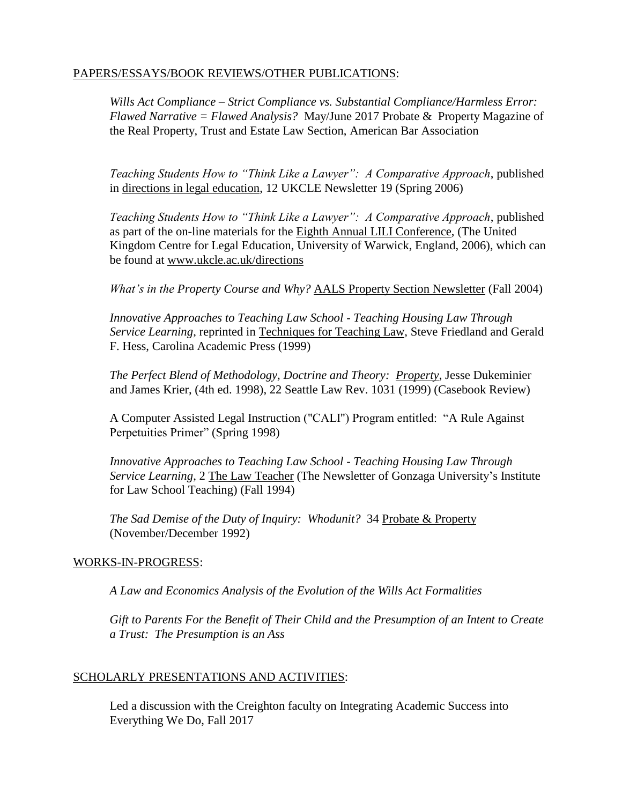#### PAPERS/ESSAYS/BOOK REVIEWS/OTHER PUBLICATIONS:

*Wills Act Compliance – Strict Compliance vs. Substantial Compliance/Harmless Error: Flawed Narrative = Flawed Analysis?* May/June 2017 Probate & Property Magazine of the Real Property, Trust and Estate Law Section, American Bar Association

*Teaching Students How to "Think Like a Lawyer": A Comparative Approach*, published in directions in legal education, 12 UKCLE Newsletter 19 (Spring 2006)

*Teaching Students How to "Think Like a Lawyer": A Comparative Approach*, published as part of the on-line materials for the Eighth Annual LILI Conference, (The United Kingdom Centre for Legal Education, University of Warwick, England, 2006), which can be found at www.ukcle.ac.uk/directions

*What's in the Property Course and Why?* AALS Property Section Newsletter (Fall 2004)

*Innovative Approaches to Teaching Law School - Teaching Housing Law Through Service Learning*, reprinted in Techniques for Teaching Law, Steve Friedland and Gerald F. Hess, Carolina Academic Press (1999)

*The Perfect Blend of Methodology, Doctrine and Theory: Property*, Jesse Dukeminier and James Krier, (4th ed. 1998), 22 Seattle Law Rev. 1031 (1999) (Casebook Review)

A Computer Assisted Legal Instruction ("CALI") Program entitled: "A Rule Against Perpetuities Primer" (Spring 1998)

*Innovative Approaches to Teaching Law School - Teaching Housing Law Through Service Learning*, 2 The Law Teacher (The Newsletter of Gonzaga University's Institute for Law School Teaching) (Fall 1994)

*The Sad Demise of the Duty of Inquiry: Whodunit?* 34 Probate & Property (November/December 1992)

#### WORKS-IN-PROGRESS:

*A Law and Economics Analysis of the Evolution of the Wills Act Formalities*

*Gift to Parents For the Benefit of Their Child and the Presumption of an Intent to Create a Trust: The Presumption is an Ass*

#### SCHOLARLY PRESENTATIONS AND ACTIVITIES:

Led a discussion with the Creighton faculty on Integrating Academic Success into Everything We Do, Fall 2017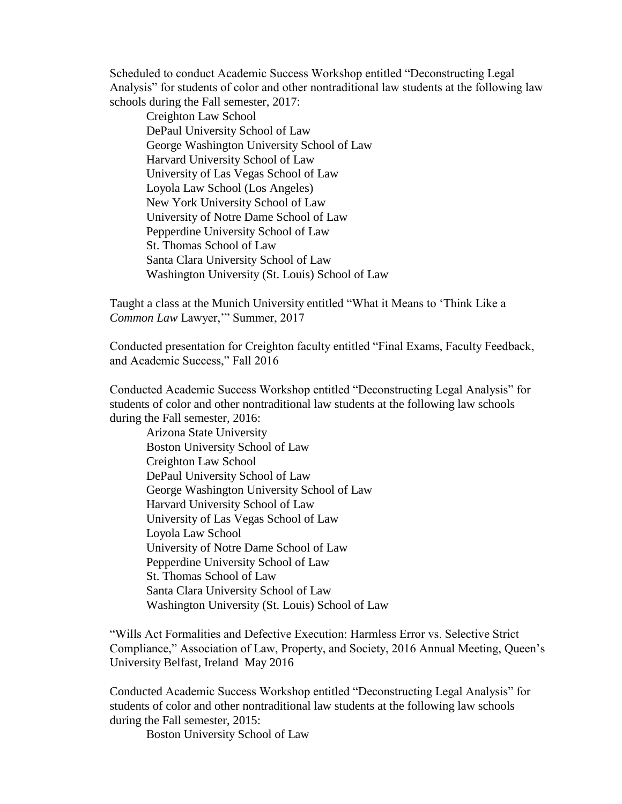Scheduled to conduct Academic Success Workshop entitled "Deconstructing Legal Analysis" for students of color and other nontraditional law students at the following law schools during the Fall semester, 2017:

Creighton Law School DePaul University School of Law George Washington University School of Law Harvard University School of Law University of Las Vegas School of Law Loyola Law School (Los Angeles) New York University School of Law University of Notre Dame School of Law Pepperdine University School of Law St. Thomas School of Law Santa Clara University School of Law Washington University (St. Louis) School of Law

Taught a class at the Munich University entitled "What it Means to 'Think Like a *Common Law* Lawyer,'" Summer, 2017

Conducted presentation for Creighton faculty entitled "Final Exams, Faculty Feedback, and Academic Success," Fall 2016

Conducted Academic Success Workshop entitled "Deconstructing Legal Analysis" for students of color and other nontraditional law students at the following law schools during the Fall semester, 2016:

Arizona State University Boston University School of Law Creighton Law School DePaul University School of Law George Washington University School of Law Harvard University School of Law University of Las Vegas School of Law Loyola Law School University of Notre Dame School of Law Pepperdine University School of Law St. Thomas School of Law Santa Clara University School of Law Washington University (St. Louis) School of Law

"Wills Act Formalities and Defective Execution: Harmless Error vs. Selective Strict Compliance," Association of Law, Property, and Society, 2016 Annual Meeting, Queen's University Belfast, Ireland May 2016

Conducted Academic Success Workshop entitled "Deconstructing Legal Analysis" for students of color and other nontraditional law students at the following law schools during the Fall semester, 2015:

Boston University School of Law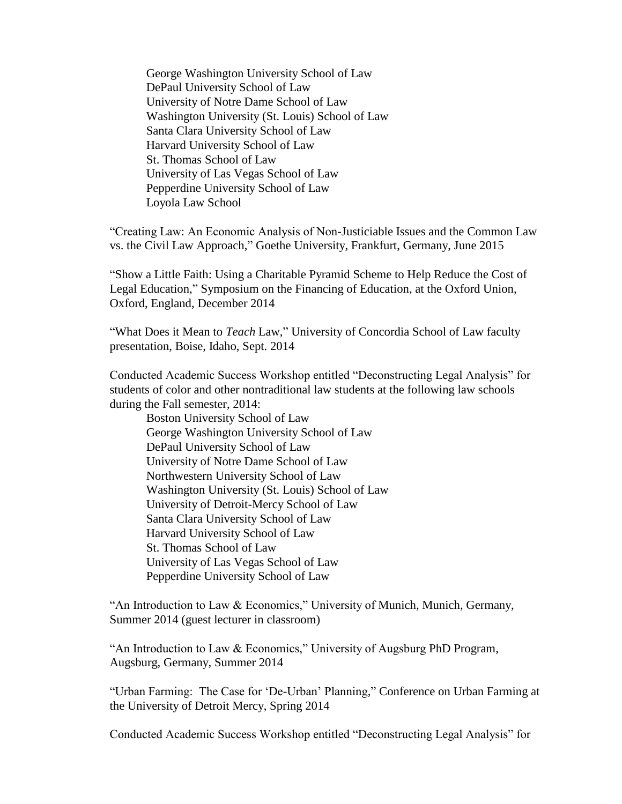George Washington University School of Law DePaul University School of Law University of Notre Dame School of Law Washington University (St. Louis) School of Law Santa Clara University School of Law Harvard University School of Law St. Thomas School of Law University of Las Vegas School of Law Pepperdine University School of Law Loyola Law School

"Creating Law: An Economic Analysis of Non-Justiciable Issues and the Common Law vs. the Civil Law Approach," Goethe University, Frankfurt, Germany, June 2015

"Show a Little Faith: Using a Charitable Pyramid Scheme to Help Reduce the Cost of Legal Education," Symposium on the Financing of Education, at the Oxford Union, Oxford, England, December 2014

"What Does it Mean to *Teach* Law," University of Concordia School of Law faculty presentation, Boise, Idaho, Sept. 2014

Conducted Academic Success Workshop entitled "Deconstructing Legal Analysis" for students of color and other nontraditional law students at the following law schools during the Fall semester, 2014:

Boston University School of Law George Washington University School of Law DePaul University School of Law University of Notre Dame School of Law Northwestern University School of Law Washington University (St. Louis) School of Law University of Detroit-Mercy School of Law Santa Clara University School of Law Harvard University School of Law St. Thomas School of Law University of Las Vegas School of Law Pepperdine University School of Law

"An Introduction to Law & Economics," University of Munich, Munich, Germany, Summer 2014 (guest lecturer in classroom)

"An Introduction to Law & Economics," University of Augsburg PhD Program, Augsburg, Germany, Summer 2014

"Urban Farming: The Case for 'De-Urban' Planning," Conference on Urban Farming at the University of Detroit Mercy, Spring 2014

Conducted Academic Success Workshop entitled "Deconstructing Legal Analysis" for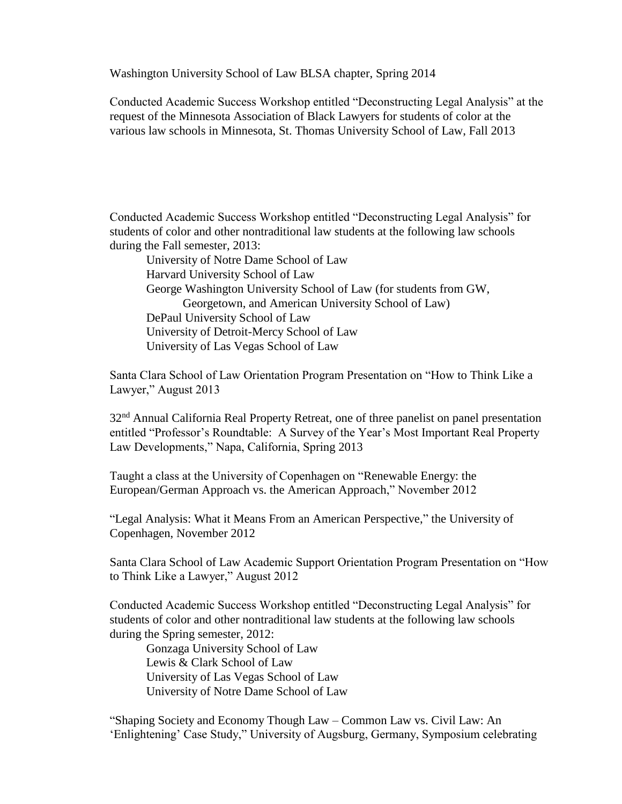Washington University School of Law BLSA chapter, Spring 2014

Conducted Academic Success Workshop entitled "Deconstructing Legal Analysis" at the request of the Minnesota Association of Black Lawyers for students of color at the various law schools in Minnesota, St. Thomas University School of Law, Fall 2013

Conducted Academic Success Workshop entitled "Deconstructing Legal Analysis" for students of color and other nontraditional law students at the following law schools during the Fall semester, 2013:

University of Notre Dame School of Law Harvard University School of Law George Washington University School of Law (for students from GW, Georgetown, and American University School of Law) DePaul University School of Law University of Detroit-Mercy School of Law University of Las Vegas School of Law

Santa Clara School of Law Orientation Program Presentation on "How to Think Like a Lawyer," August 2013

32<sup>nd</sup> Annual California Real Property Retreat, one of three panelist on panel presentation entitled "Professor's Roundtable: A Survey of the Year's Most Important Real Property Law Developments," Napa, California, Spring 2013

Taught a class at the University of Copenhagen on "Renewable Energy: the European/German Approach vs. the American Approach," November 2012

"Legal Analysis: What it Means From an American Perspective," the University of Copenhagen, November 2012

Santa Clara School of Law Academic Support Orientation Program Presentation on "How to Think Like a Lawyer," August 2012

Conducted Academic Success Workshop entitled "Deconstructing Legal Analysis" for students of color and other nontraditional law students at the following law schools during the Spring semester, 2012:

Gonzaga University School of Law Lewis & Clark School of Law University of Las Vegas School of Law University of Notre Dame School of Law

"Shaping Society and Economy Though Law – Common Law vs. Civil Law: An 'Enlightening' Case Study," University of Augsburg, Germany, Symposium celebrating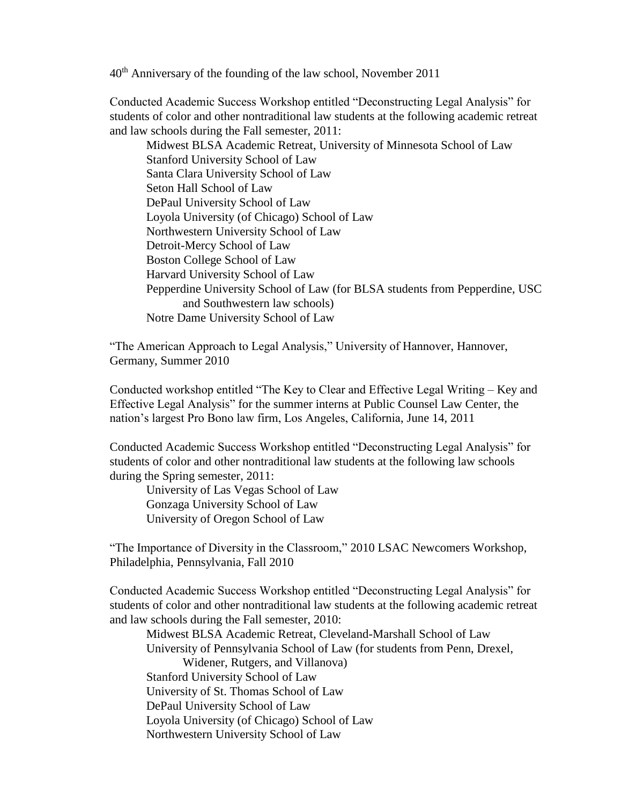40th Anniversary of the founding of the law school, November 2011

Conducted Academic Success Workshop entitled "Deconstructing Legal Analysis" for students of color and other nontraditional law students at the following academic retreat and law schools during the Fall semester, 2011:

Midwest BLSA Academic Retreat, University of Minnesota School of Law Stanford University School of Law Santa Clara University School of Law Seton Hall School of Law DePaul University School of Law Loyola University (of Chicago) School of Law Northwestern University School of Law Detroit-Mercy School of Law Boston College School of Law Harvard University School of Law Pepperdine University School of Law (for BLSA students from Pepperdine, USC and Southwestern law schools) Notre Dame University School of Law

"The American Approach to Legal Analysis," University of Hannover, Hannover, Germany, Summer 2010

Conducted workshop entitled "The Key to Clear and Effective Legal Writing – Key and Effective Legal Analysis" for the summer interns at Public Counsel Law Center, the nation's largest Pro Bono law firm, Los Angeles, California, June 14, 2011

Conducted Academic Success Workshop entitled "Deconstructing Legal Analysis" for students of color and other nontraditional law students at the following law schools during the Spring semester, 2011:

University of Las Vegas School of Law Gonzaga University School of Law University of Oregon School of Law

"The Importance of Diversity in the Classroom," 2010 LSAC Newcomers Workshop, Philadelphia, Pennsylvania, Fall 2010

Conducted Academic Success Workshop entitled "Deconstructing Legal Analysis" for students of color and other nontraditional law students at the following academic retreat and law schools during the Fall semester, 2010:

Midwest BLSA Academic Retreat, Cleveland-Marshall School of Law University of Pennsylvania School of Law (for students from Penn, Drexel, Widener, Rutgers, and Villanova) Stanford University School of Law University of St. Thomas School of Law DePaul University School of Law Loyola University (of Chicago) School of Law Northwestern University School of Law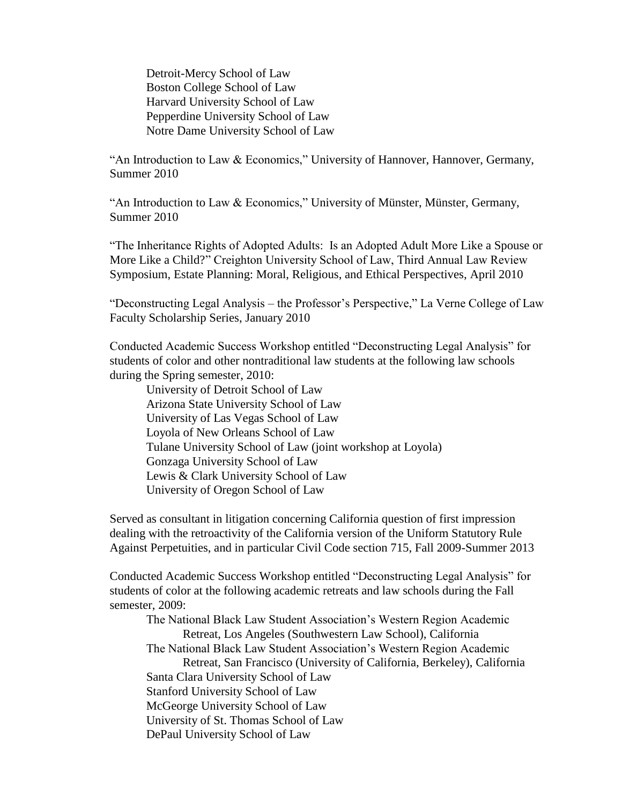Detroit-Mercy School of Law Boston College School of Law Harvard University School of Law Pepperdine University School of Law Notre Dame University School of Law

"An Introduction to Law & Economics," University of Hannover, Hannover, Germany, Summer 2010

"An Introduction to Law & Economics," University of Münster, Münster, Germany, Summer 2010

"The Inheritance Rights of Adopted Adults: Is an Adopted Adult More Like a Spouse or More Like a Child?" Creighton University School of Law, Third Annual Law Review Symposium, Estate Planning: Moral, Religious, and Ethical Perspectives, April 2010

"Deconstructing Legal Analysis – the Professor's Perspective," La Verne College of Law Faculty Scholarship Series, January 2010

Conducted Academic Success Workshop entitled "Deconstructing Legal Analysis" for students of color and other nontraditional law students at the following law schools during the Spring semester, 2010:

University of Detroit School of Law Arizona State University School of Law University of Las Vegas School of Law Loyola of New Orleans School of Law Tulane University School of Law (joint workshop at Loyola) Gonzaga University School of Law Lewis & Clark University School of Law University of Oregon School of Law

Served as consultant in litigation concerning California question of first impression dealing with the retroactivity of the California version of the Uniform Statutory Rule Against Perpetuities, and in particular Civil Code section 715, Fall 2009-Summer 2013

Conducted Academic Success Workshop entitled "Deconstructing Legal Analysis" for students of color at the following academic retreats and law schools during the Fall semester, 2009:

The National Black Law Student Association's Western Region Academic Retreat, Los Angeles (Southwestern Law School), California The National Black Law Student Association's Western Region Academic Retreat, San Francisco (University of California, Berkeley), California Santa Clara University School of Law Stanford University School of Law McGeorge University School of Law University of St. Thomas School of Law DePaul University School of Law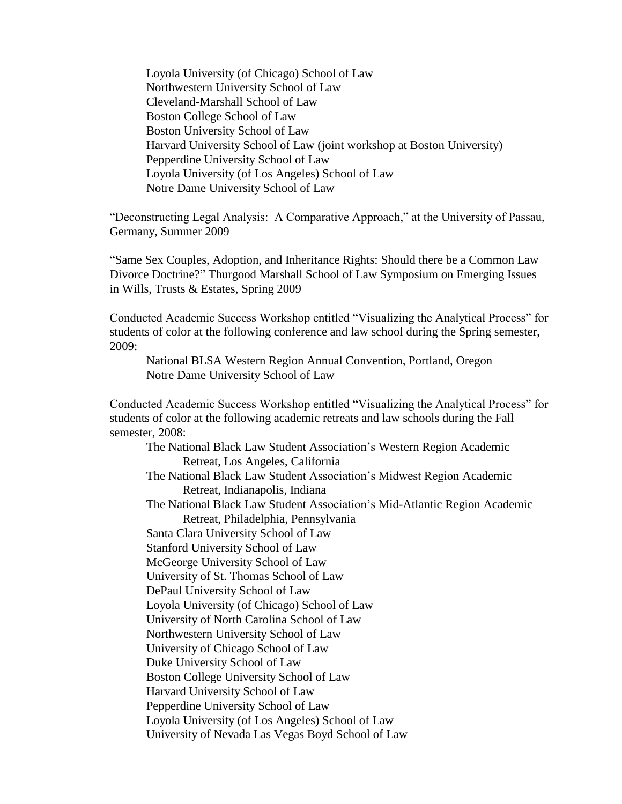Loyola University (of Chicago) School of Law Northwestern University School of Law Cleveland-Marshall School of Law Boston College School of Law Boston University School of Law Harvard University School of Law (joint workshop at Boston University) Pepperdine University School of Law Loyola University (of Los Angeles) School of Law Notre Dame University School of Law

"Deconstructing Legal Analysis: A Comparative Approach," at the University of Passau, Germany, Summer 2009

"Same Sex Couples, Adoption, and Inheritance Rights: Should there be a Common Law Divorce Doctrine?" Thurgood Marshall School of Law Symposium on Emerging Issues in Wills, Trusts & Estates, Spring 2009

Conducted Academic Success Workshop entitled "Visualizing the Analytical Process" for students of color at the following conference and law school during the Spring semester, 2009:

National BLSA Western Region Annual Convention, Portland, Oregon Notre Dame University School of Law

Conducted Academic Success Workshop entitled "Visualizing the Analytical Process" for students of color at the following academic retreats and law schools during the Fall semester, 2008:

The National Black Law Student Association's Western Region Academic Retreat, Los Angeles, California

The National Black Law Student Association's Midwest Region Academic Retreat, Indianapolis, Indiana

The National Black Law Student Association's Mid-Atlantic Region Academic Retreat, Philadelphia, Pennsylvania

Santa Clara University School of Law Stanford University School of Law

McGeorge University School of Law

University of St. Thomas School of Law

DePaul University School of Law

Loyola University (of Chicago) School of Law

University of North Carolina School of Law

Northwestern University School of Law

University of Chicago School of Law

Duke University School of Law

Boston College University School of Law

Harvard University School of Law

Pepperdine University School of Law

Loyola University (of Los Angeles) School of Law

University of Nevada Las Vegas Boyd School of Law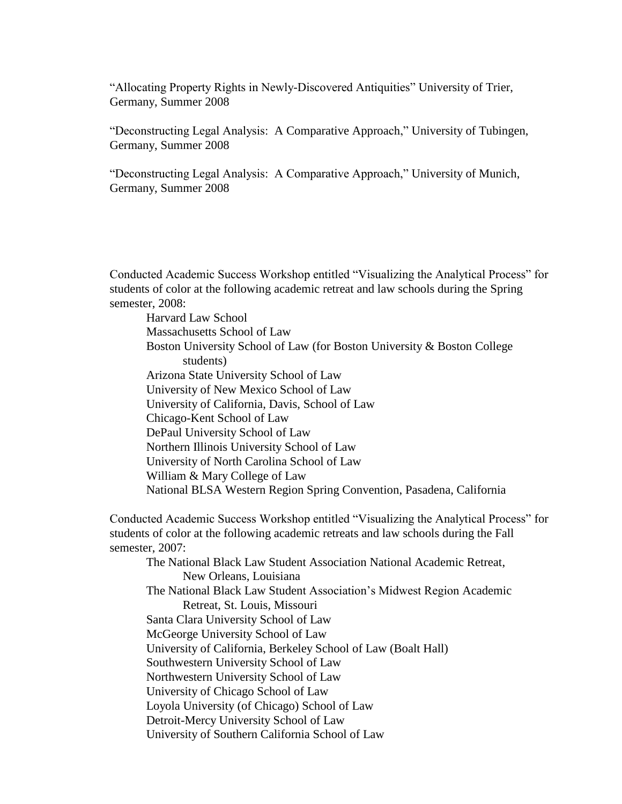"Allocating Property Rights in Newly-Discovered Antiquities" University of Trier, Germany, Summer 2008

"Deconstructing Legal Analysis: A Comparative Approach," University of Tubingen, Germany, Summer 2008

"Deconstructing Legal Analysis: A Comparative Approach," University of Munich, Germany, Summer 2008

Conducted Academic Success Workshop entitled "Visualizing the Analytical Process" for students of color at the following academic retreat and law schools during the Spring semester, 2008:

Harvard Law School Massachusetts School of Law Boston University School of Law (for Boston University & Boston College students) Arizona State University School of Law University of New Mexico School of Law University of California, Davis, School of Law Chicago-Kent School of Law DePaul University School of Law Northern Illinois University School of Law University of North Carolina School of Law William & Mary College of Law National BLSA Western Region Spring Convention, Pasadena, California

Conducted Academic Success Workshop entitled "Visualizing the Analytical Process" for students of color at the following academic retreats and law schools during the Fall semester, 2007:

The National Black Law Student Association National Academic Retreat, New Orleans, Louisiana The National Black Law Student Association's Midwest Region Academic Retreat, St. Louis, Missouri Santa Clara University School of Law McGeorge University School of Law University of California, Berkeley School of Law (Boalt Hall) Southwestern University School of Law Northwestern University School of Law University of Chicago School of Law Loyola University (of Chicago) School of Law Detroit-Mercy University School of Law University of Southern California School of Law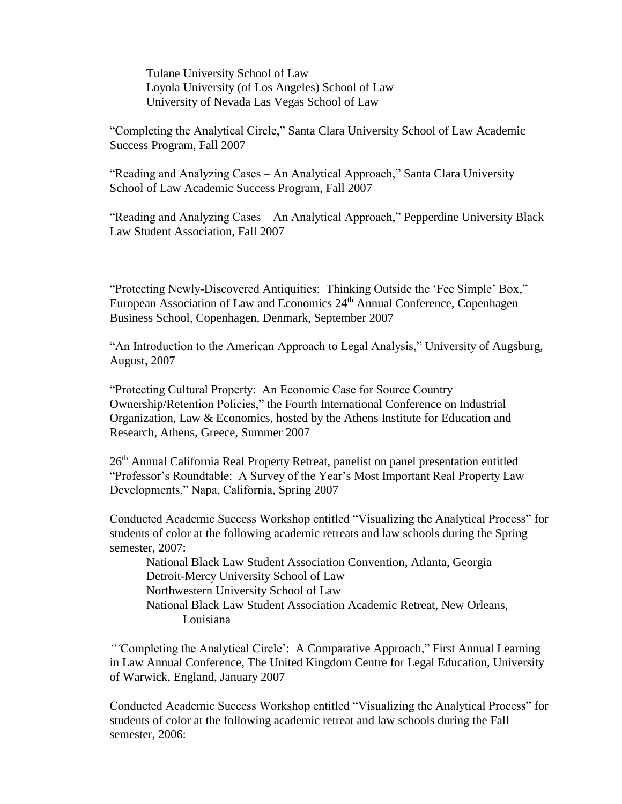Tulane University School of Law Loyola University (of Los Angeles) School of Law University of Nevada Las Vegas School of Law

"Completing the Analytical Circle," Santa Clara University School of Law Academic Success Program, Fall 2007

"Reading and Analyzing Cases – An Analytical Approach," Santa Clara University School of Law Academic Success Program, Fall 2007

"Reading and Analyzing Cases – An Analytical Approach," Pepperdine University Black Law Student Association, Fall 2007

"Protecting Newly-Discovered Antiquities: Thinking Outside the 'Fee Simple' Box," European Association of Law and Economics 24<sup>th</sup> Annual Conference, Copenhagen Business School, Copenhagen, Denmark, September 2007

"An Introduction to the American Approach to Legal Analysis," University of Augsburg, August, 2007

"Protecting Cultural Property: An Economic Case for Source Country Ownership/Retention Policies," the Fourth International Conference on Industrial Organization, Law & Economics, hosted by the Athens Institute for Education and Research, Athens, Greece, Summer 2007

26<sup>th</sup> Annual California Real Property Retreat, panelist on panel presentation entitled "Professor's Roundtable: A Survey of the Year's Most Important Real Property Law Developments," Napa, California, Spring 2007

Conducted Academic Success Workshop entitled "Visualizing the Analytical Process" for students of color at the following academic retreats and law schools during the Spring semester, 2007:

National Black Law Student Association Convention, Atlanta, Georgia Detroit-Mercy University School of Law Northwestern University School of Law National Black Law Student Association Academic Retreat, New Orleans, Louisiana

*"'*Completing the Analytical Circle': A Comparative Approach," First Annual Learning in Law Annual Conference, The United Kingdom Centre for Legal Education, University of Warwick, England, January 2007

Conducted Academic Success Workshop entitled "Visualizing the Analytical Process" for students of color at the following academic retreat and law schools during the Fall semester, 2006: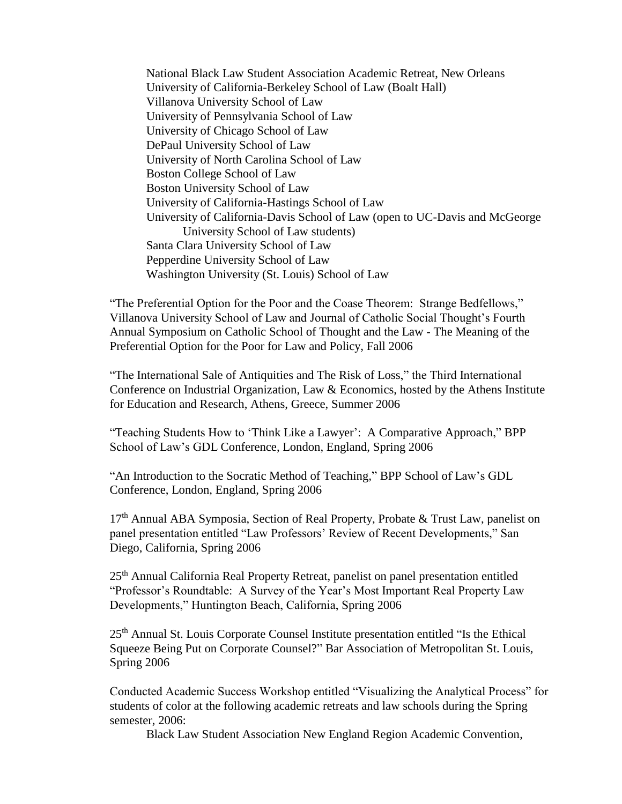National Black Law Student Association Academic Retreat, New Orleans University of California-Berkeley School of Law (Boalt Hall) Villanova University School of Law University of Pennsylvania School of Law University of Chicago School of Law DePaul University School of Law University of North Carolina School of Law Boston College School of Law Boston University School of Law University of California-Hastings School of Law University of California-Davis School of Law (open to UC-Davis and McGeorge University School of Law students) Santa Clara University School of Law Pepperdine University School of Law Washington University (St. Louis) School of Law

"The Preferential Option for the Poor and the Coase Theorem: Strange Bedfellows," Villanova University School of Law and Journal of Catholic Social Thought's Fourth Annual Symposium on Catholic School of Thought and the Law - The Meaning of the Preferential Option for the Poor for Law and Policy, Fall 2006

"The International Sale of Antiquities and The Risk of Loss," the Third International Conference on Industrial Organization, Law & Economics, hosted by the Athens Institute for Education and Research, Athens, Greece, Summer 2006

"Teaching Students How to 'Think Like a Lawyer': A Comparative Approach," BPP School of Law's GDL Conference, London, England, Spring 2006

"An Introduction to the Socratic Method of Teaching*,*" BPP School of Law's GDL Conference, London, England, Spring 2006

17<sup>th</sup> Annual ABA Symposia, Section of Real Property, Probate & Trust Law, panelist on panel presentation entitled "Law Professors' Review of Recent Developments," San Diego, California, Spring 2006

25th Annual California Real Property Retreat, panelist on panel presentation entitled "Professor's Roundtable: A Survey of the Year's Most Important Real Property Law Developments," Huntington Beach, California, Spring 2006

25<sup>th</sup> Annual St. Louis Corporate Counsel Institute presentation entitled "Is the Ethical Squeeze Being Put on Corporate Counsel?" Bar Association of Metropolitan St. Louis, Spring 2006

Conducted Academic Success Workshop entitled "Visualizing the Analytical Process" for students of color at the following academic retreats and law schools during the Spring semester, 2006:

Black Law Student Association New England Region Academic Convention,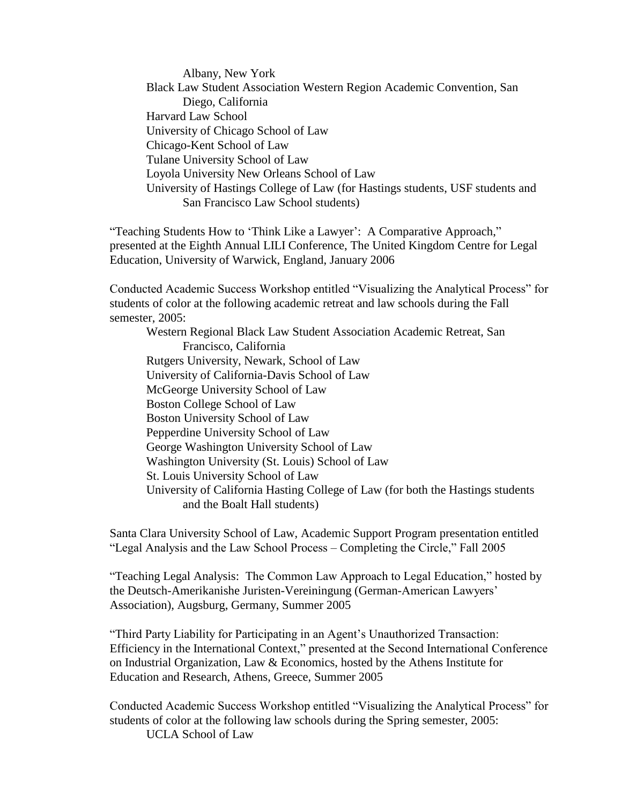Albany, New York Black Law Student Association Western Region Academic Convention, San Diego, California Harvard Law School University of Chicago School of Law Chicago-Kent School of Law Tulane University School of Law Loyola University New Orleans School of Law University of Hastings College of Law (for Hastings students, USF students and San Francisco Law School students)

"Teaching Students How to 'Think Like a Lawyer': A Comparative Approach," presented at the Eighth Annual LILI Conference, The United Kingdom Centre for Legal Education, University of Warwick, England, January 2006

Conducted Academic Success Workshop entitled "Visualizing the Analytical Process" for students of color at the following academic retreat and law schools during the Fall semester, 2005:

Western Regional Black Law Student Association Academic Retreat, San Francisco, California Rutgers University, Newark, School of Law University of California-Davis School of Law McGeorge University School of Law Boston College School of Law Boston University School of Law Pepperdine University School of Law George Washington University School of Law Washington University (St. Louis) School of Law St. Louis University School of Law University of California Hasting College of Law (for both the Hastings students and the Boalt Hall students)

Santa Clara University School of Law, Academic Support Program presentation entitled "Legal Analysis and the Law School Process – Completing the Circle," Fall 2005

"Teaching Legal Analysis: The Common Law Approach to Legal Education," hosted by the Deutsch-Amerikanishe Juristen-Vereiningung (German-American Lawyers' Association), Augsburg, Germany, Summer 2005

"Third Party Liability for Participating in an Agent's Unauthorized Transaction: Efficiency in the International Context," presented at the Second International Conference on Industrial Organization, Law & Economics, hosted by the Athens Institute for Education and Research, Athens, Greece, Summer 2005

Conducted Academic Success Workshop entitled "Visualizing the Analytical Process" for students of color at the following law schools during the Spring semester, 2005: UCLA School of Law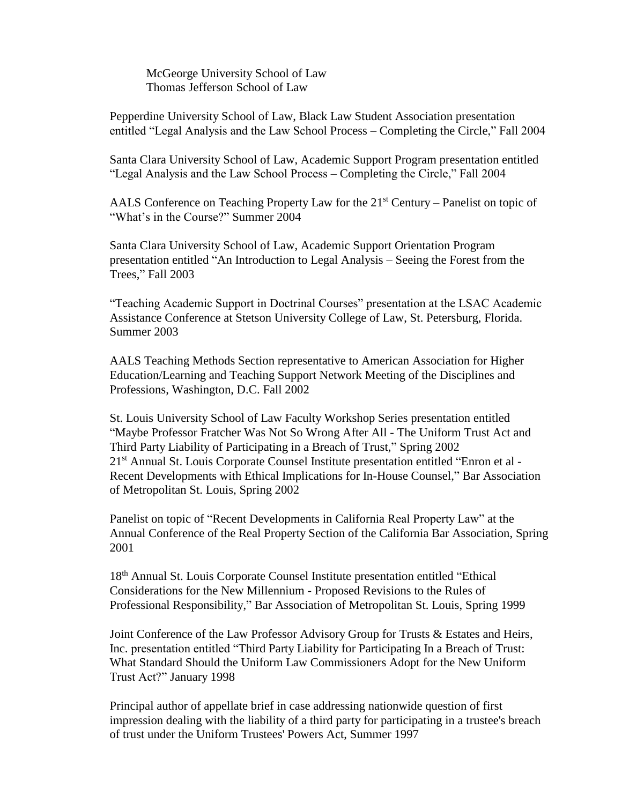McGeorge University School of Law Thomas Jefferson School of Law

Pepperdine University School of Law, Black Law Student Association presentation entitled "Legal Analysis and the Law School Process – Completing the Circle," Fall 2004

Santa Clara University School of Law, Academic Support Program presentation entitled "Legal Analysis and the Law School Process – Completing the Circle," Fall 2004

AALS Conference on Teaching Property Law for the  $21<sup>st</sup>$  Century – Panelist on topic of "What's in the Course?" Summer 2004

Santa Clara University School of Law, Academic Support Orientation Program presentation entitled "An Introduction to Legal Analysis – Seeing the Forest from the Trees," Fall 2003

"Teaching Academic Support in Doctrinal Courses" presentation at the LSAC Academic Assistance Conference at Stetson University College of Law, St. Petersburg, Florida. Summer 2003

AALS Teaching Methods Section representative to American Association for Higher Education/Learning and Teaching Support Network Meeting of the Disciplines and Professions, Washington, D.C. Fall 2002

St. Louis University School of Law Faculty Workshop Series presentation entitled "Maybe Professor Fratcher Was Not So Wrong After All - The Uniform Trust Act and Third Party Liability of Participating in a Breach of Trust," Spring 2002 21<sup>st</sup> Annual St. Louis Corporate Counsel Institute presentation entitled "Enron et al -Recent Developments with Ethical Implications for In-House Counsel," Bar Association of Metropolitan St. Louis, Spring 2002

Panelist on topic of "Recent Developments in California Real Property Law" at the Annual Conference of the Real Property Section of the California Bar Association, Spring 2001

18th Annual St. Louis Corporate Counsel Institute presentation entitled "Ethical Considerations for the New Millennium - Proposed Revisions to the Rules of Professional Responsibility," Bar Association of Metropolitan St. Louis, Spring 1999

Joint Conference of the Law Professor Advisory Group for Trusts & Estates and Heirs, Inc. presentation entitled "Third Party Liability for Participating In a Breach of Trust: What Standard Should the Uniform Law Commissioners Adopt for the New Uniform Trust Act?" January 1998

Principal author of appellate brief in case addressing nationwide question of first impression dealing with the liability of a third party for participating in a trustee's breach of trust under the Uniform Trustees' Powers Act, Summer 1997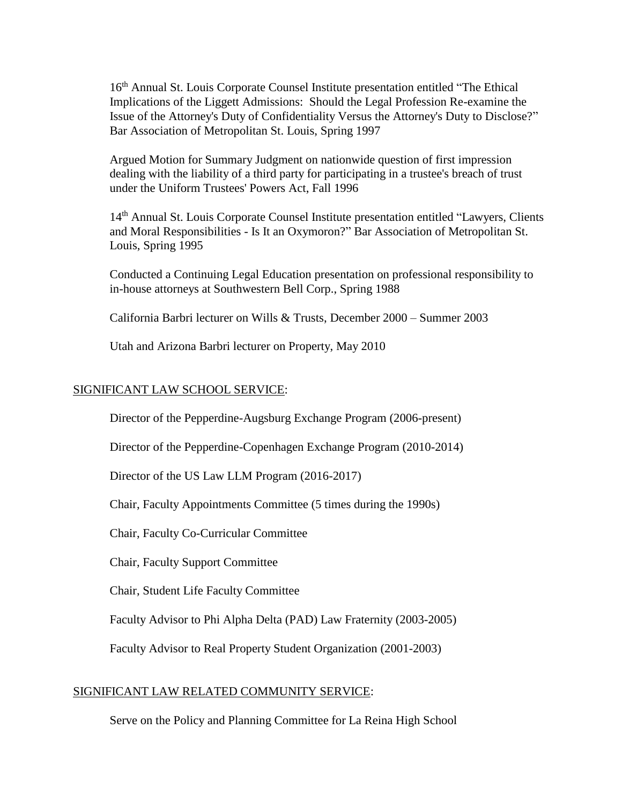16<sup>th</sup> Annual St. Louis Corporate Counsel Institute presentation entitled "The Ethical Implications of the Liggett Admissions: Should the Legal Profession Re-examine the Issue of the Attorney's Duty of Confidentiality Versus the Attorney's Duty to Disclose?" Bar Association of Metropolitan St. Louis, Spring 1997

Argued Motion for Summary Judgment on nationwide question of first impression dealing with the liability of a third party for participating in a trustee's breach of trust under the Uniform Trustees' Powers Act, Fall 1996

14<sup>th</sup> Annual St. Louis Corporate Counsel Institute presentation entitled "Lawyers, Clients and Moral Responsibilities - Is It an Oxymoron?" Bar Association of Metropolitan St. Louis, Spring 1995

Conducted a Continuing Legal Education presentation on professional responsibility to in-house attorneys at Southwestern Bell Corp., Spring 1988

California Barbri lecturer on Wills & Trusts, December 2000 – Summer 2003

Utah and Arizona Barbri lecturer on Property, May 2010

#### SIGNIFICANT LAW SCHOOL SERVICE:

Director of the Pepperdine-Augsburg Exchange Program (2006-present)

Director of the Pepperdine-Copenhagen Exchange Program (2010-2014)

Director of the US Law LLM Program (2016-2017)

Chair, Faculty Appointments Committee (5 times during the 1990s)

Chair, Faculty Co-Curricular Committee

Chair, Faculty Support Committee

Chair, Student Life Faculty Committee

Faculty Advisor to Phi Alpha Delta (PAD) Law Fraternity (2003-2005)

Faculty Advisor to Real Property Student Organization (2001-2003)

#### SIGNIFICANT LAW RELATED COMMUNITY SERVICE:

Serve on the Policy and Planning Committee for La Reina High School